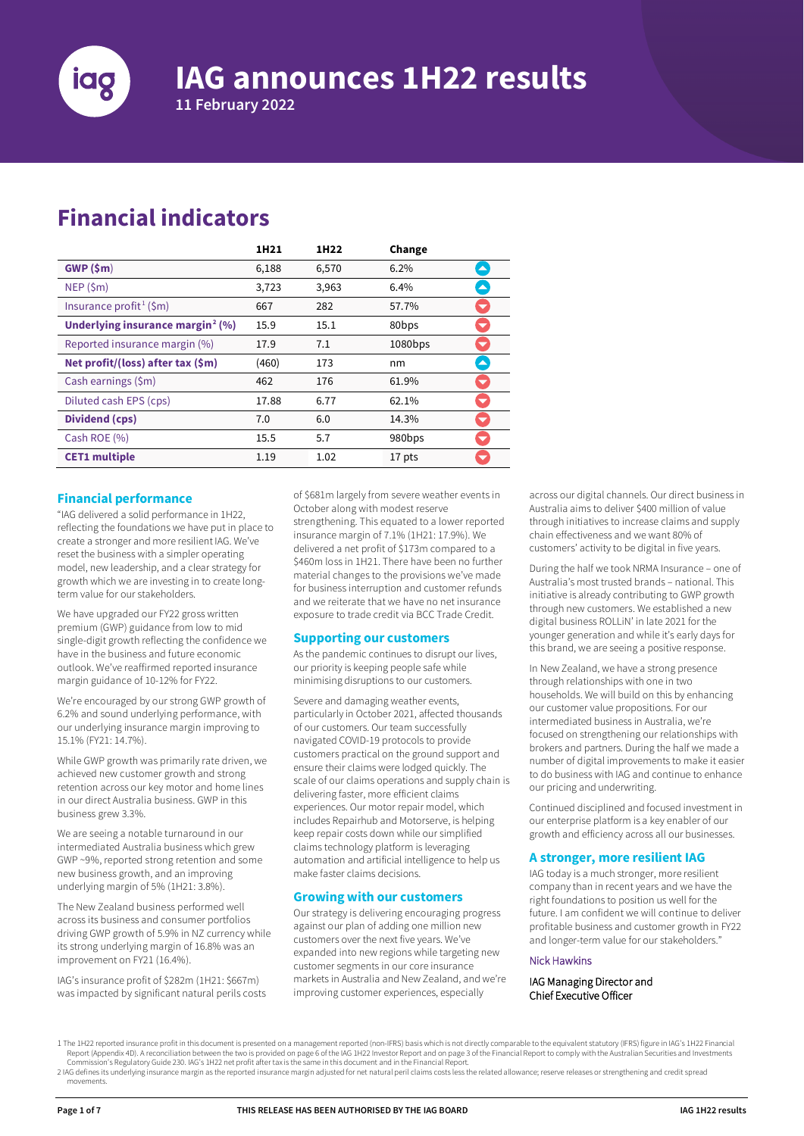

# **IAG announces 1H22 results**

**11 February 2022**

## **Financial indicators**

|                                              | 1H21  | 1H22  | Change            |                          |
|----------------------------------------------|-------|-------|-------------------|--------------------------|
| GWP(5m)                                      | 6,188 | 6,570 | 6.2%              | $\blacktriangle$         |
| NEP(Sm)                                      | 3,723 | 3,963 | 6.4%              | $\blacktriangle$         |
| Insurance profit <sup>1</sup> (\$m)          | 667   | 282   | 57.7%             | $\overline{\phantom{0}}$ |
| Underlying insurance margin <sup>2</sup> (%) | 15.9  | 15.1  | 80 <sub>bps</sub> | $\overline{\phantom{0}}$ |
| Reported insurance margin (%)                | 17.9  | 7.1   | $1080$ bps        | $\overline{\phantom{0}}$ |
| Net profit/(loss) after tax (\$m)            | (460) | 173   | nm                | $\blacktriangle$         |
| Cash earnings (\$m)                          | 462   | 176   | 61.9%             | $\blacktriangledown$     |
| Diluted cash EPS (cps)                       | 17.88 | 6.77  | 62.1%             | $\overline{\phantom{a}}$ |
| Dividend (cps)                               | 7.0   | 6.0   | 14.3%             | $\overline{\phantom{0}}$ |
| Cash ROE (%)                                 | 15.5  | 5.7   | 980bps            | $\overline{\mathbf{v}}$  |
| <b>CET1</b> multiple                         | 1.19  | 1.02  | 17 pts            |                          |

#### **Financial performance**

"IAG delivered a solid performance in 1H22, reflecting the foundations we have put in place to create a stronger and more resilient IAG. We've reset the business with a simpler operating model, new leadership, and a clear strategy for growth which we are investing in to create longterm value for our stakeholders.

We have upgraded our FY22 gross written premium (GWP) guidance from low to mid single-digit growth reflecting the confidence we have in the business and future economic outlook. We've reaffirmed reported insurance margin guidance of 10-12% for FY22.

We're encouraged by our strong GWP growth of 6.2% and sound underlying performance, with our underlying insurance margin improving to 15.1% (FY21: 14.7%).

While GWP growth was primarily rate driven, we achieved new customer growth and strong retention across our key motor and home lines in our direct Australia business. GWP in this business grew 3.3%.

We are seeing a notable turnaround in our intermediated Australia business which grew GWP ~9%, reported strong retention and some new business growth, and an improving underlying margin of 5% (1H21: 3.8%).

The New Zealand business performed well across its business and consumer portfolios driving GWP growth of 5.9% in NZ currency while its strong underlying margin of 16.8% was an improvement on FY21 (16.4%).

IAG's insurance profit of \$282m (1H21: \$667m) was impacted by significant natural perils costs of \$681m largely from severe weather events in October along with modest reserve strengthening. This equated to a lower reported insurance margin of 7.1% (1H21: 17.9%). We delivered a net profit of \$173m compared to a \$460m loss in 1H21. There have been no further material changes to the provisions we've made for business interruption and customer refunds and we reiterate that we have no net insurance exposure to trade credit via BCC Trade Credit.

#### **Supporting our customers**

As the pandemic continues to disrupt our lives, our priority is keeping people safe while minimising disruptions to our customers.

Severe and damaging weather events, particularly in October 2021, affected thousands of our customers. Our team successfully navigated COVID-19 protocols to provide customers practical on the ground support and ensure their claims were lodged quickly. The scale of our claims operations and supply chain is delivering faster, more efficient claims experiences. Our motor repair model, which includes Repairhub and Motorserve, is helping keep repair costs down while our simplified claims technology platform is leveraging automation and artificial intelligence to help us make faster claims decisions.

## **Growing with our customers**

Our strategy is delivering encouraging progress against our plan of adding one million new customers over the next five years. We've expanded into new regions while targeting new customer segments in our core insurance markets in Australia and New Zealand, and we're improving customer experiences, especially

across our digital channels. Our direct business in Australia aims to deliver \$400 million of value through initiatives to increase claims and supply chain effectiveness and we want 80% of customers' activity to be digital in five years.

During the half we took NRMA Insurance – one of Australia's most trusted brands – national. This initiative is already contributing to GWP growth through new customers. We established a new digital business ROLLiN' in late 2021 for the younger generation and while it's early days for this brand, we are seeing a positive response.

In New Zealand, we have a strong presence through relationships with one in two households. We will build on this by enhancing our customer value propositions. For our intermediated business in Australia, we're focused on strengthening our relationships with brokers and partners. During the half we made a number of digital improvements to make it easier to do business with IAG and continue to enhance our pricing and underwriting.

Continued disciplined and focused investment in our enterprise platform is a key enabler of our growth and efficiency across all our businesses.

## **A stronger, more resilient IAG**

IAG today is a much stronger, more resilient company than in recent years and we have the right foundations to position us well for the future. I am confident we will continue to deliver profitable business and customer growth in FY22 and longer-term value for our stakeholders."

#### Nick Hawkins

#### IAG Managing Director and Chief Executive Officer

<span id="page-0-1"></span>Commission's Regulatory Guide 230. IAG's 1H22 net profit after taxis the same in this document and in the Financial Report.<br>2 IAG defines its underlying insurance margin as the reported insurance margin adjusted for net na movements.

<span id="page-0-0"></span><sup>1</sup> The 1H22 reported insurance profit in this document is presented on a management reported (non-IFRS) basis which is not directly comparable to the equivalent statutory (IFRS) figure in IAG's 1H22 Financial provided on pa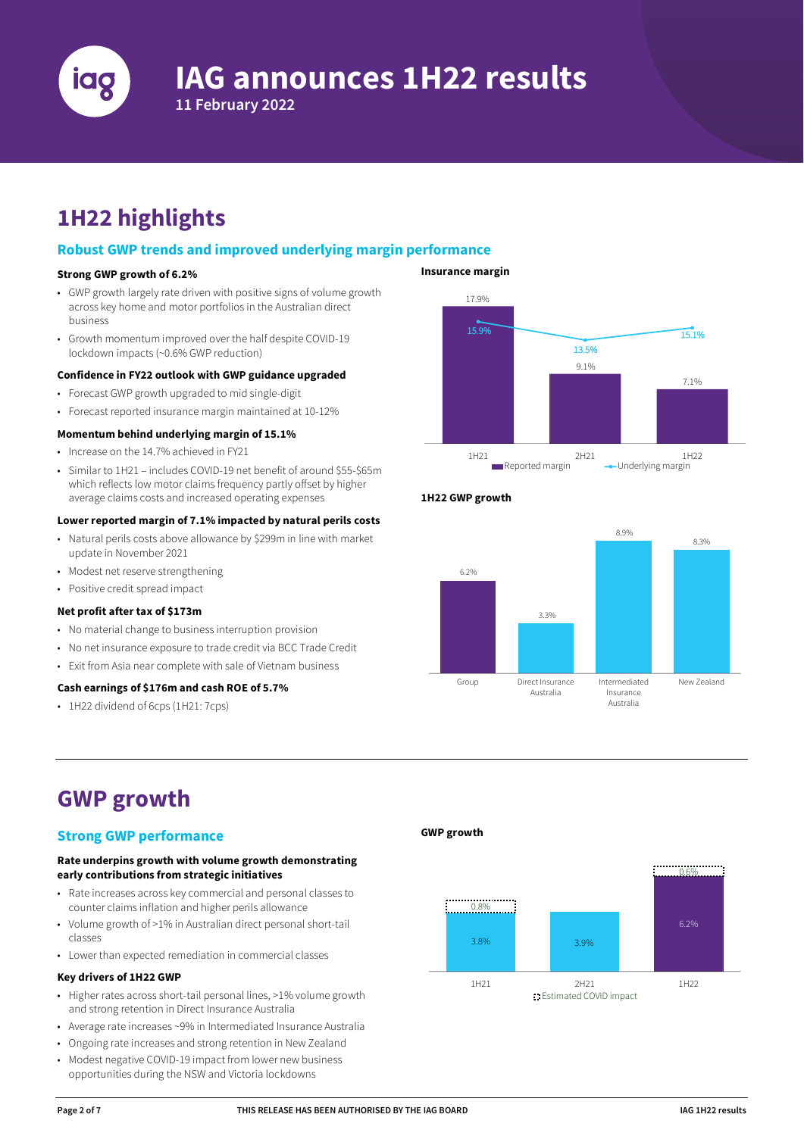

# **IAG announces 1H22 results**

**11 February 2022**

# **1H22 highlights**

## **Robust GWP trends and improved underlying margin performance**

## **Strong GWP growth of 6.2%**

- GWP growth largely rate driven with positive signs of volume growth across key home and motor portfolios in the Australian direct business
- Growth momentum improved over the half despite COVID-19 lockdown impacts (~0.6% GWP reduction)

#### **Confidence in FY22 outlook with GWP guidance upgraded**

- Forecast GWP growth upgraded to mid single-digit
- Forecast reported insurance margin maintained at 10-12%

#### **Momentum behind underlying margin of 15.1%**

- Increase on the 14.7% achieved in FY21
- Similar to 1H21 includes COVID-19 net benefit of around \$55-\$65m which reflects low motor claims frequency partly offset by higher average claims costs and increased operating expenses

#### **Lower reported margin of 7.1% impacted by natural perils costs**

- Natural perils costs above allowance by \$299m in line with market update in November 2021
- Modest net reserve strengthening
- Positive credit spread impact

#### **Net profit after tax of \$173m**

- No material change to business interruption provision
- No net insurance exposure to trade credit via BCC Trade Credit
- Exit from Asia near complete with sale of Vietnam business

#### **Cash earnings of \$176m and cash ROE of 5.7%**

• 1H22 dividend of 6cps (1H21: 7cps)



#### **1H22 GWP growth**



## **GWP growth**

## **Strong GWP performance**

#### **Rate underpins growth with volume growth demonstrating early contributions from strategic initiatives**

- Rate increases across key commercial and personal classes to counter claims inflation and higher perils allowance
- Volume growth of >1% in Australian direct personal short-tail classes
- Lower than expected remediation in commercial classes

#### **Key drivers of 1H22 GWP**

- Higher rates across short-tail personal lines, >1% volume growth and strong retention in Direct Insurance Australia
- Average rate increases ~9% in Intermediated Insurance Australia
- Ongoing rate increases and strong retention in New Zealand
- Modest negative COVID-19 impact from lower new business opportunities during the NSW and Victoria lockdowns

## **GWP growth**

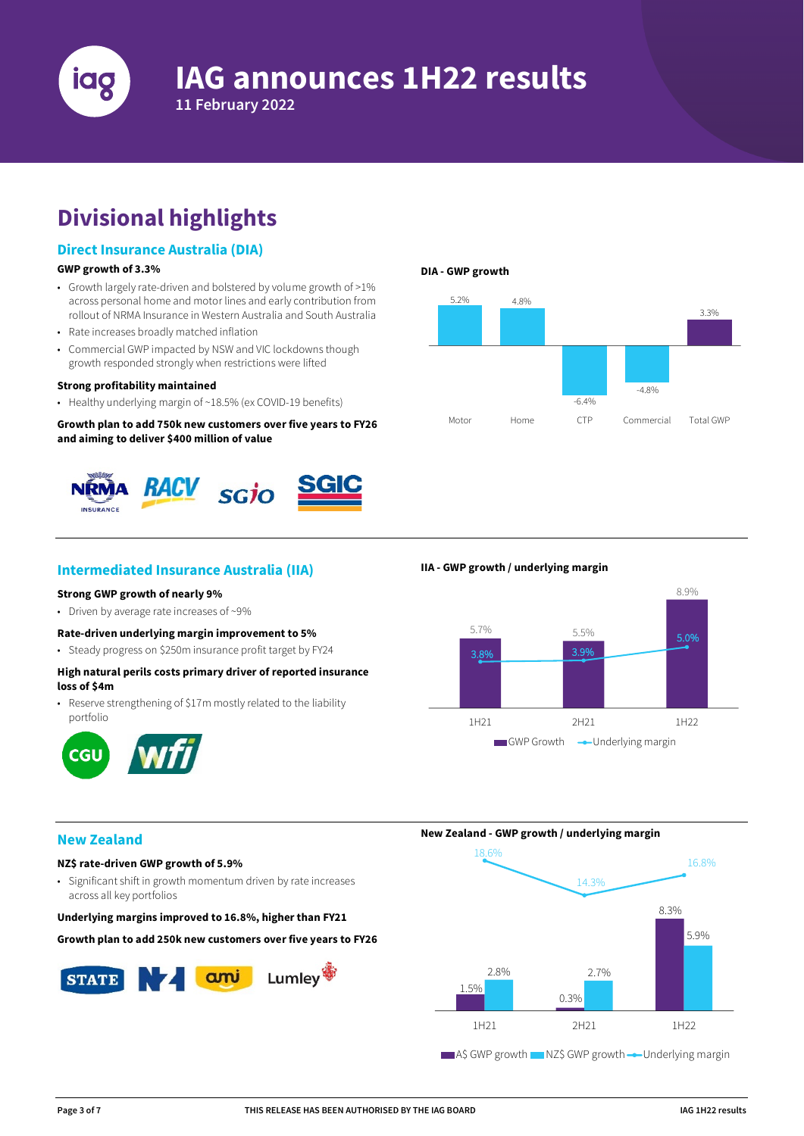

# **Divisional highlights**

## **Direct Insurance Australia (DIA)**

#### **GWP growth of 3.3%**

- Growth largely rate-driven and bolstered by volume growth of >1% across personal home and motor lines and early contribution from rollout of NRMA Insurance in Western Australia and South Australia
- Rate increases broadly matched inflation
- Commercial GWP impacted by NSW and VIC lockdowns though growth responded strongly when restrictions were lifted

#### **Strong profitability maintained**

• Healthy underlying margin of ~18.5% (ex COVID-19 benefits)

**Growth plan to add 750k new customers over five years to FY26 and aiming to deliver \$400 million of value** 



## **Intermediated Insurance Australia (IIA)**

#### **Strong GWP growth of nearly 9%**

• Driven by average rate increases of ~9%

- **Rate-driven underlying margin improvement to 5%**
- Steady progress on \$250m insurance profit target by FY24

## **High natural perils costs primary driver of reported insurance loss of \$4m**

• Reserve strengthening of \$17m mostly related to the liability portfolio



# **DIA - GWP growth**



#### **IIA - GWP growth / underlying margin**



## **New Zealand**

## **NZ\$ rate-driven GWP growth of 5.9%**

• Significant shift in growth momentum driven by rate increases across all key portfolios

#### **Underlying margins improved to 16.8%, higher than FY21**

**Growth plan to add 250k new customers over five years to FY26**



**New Zealand - GWP growth / underlying margin**

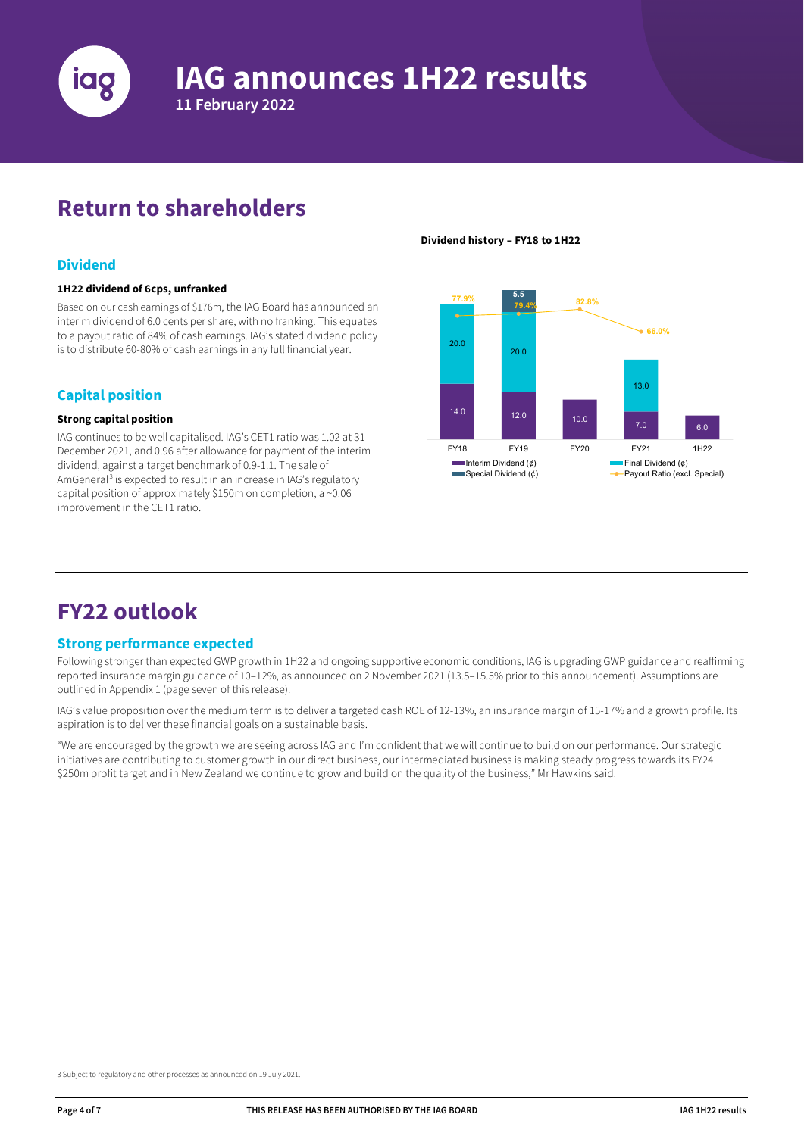

# **IAG announces 1H22 results**

**11 February 2022**

# **Return to shareholders**

## **Dividend**

#### **1H22 dividend of 6cps, unfranked**

Based on our cash earnings of \$176m, the IAG Board has announced an interim dividend of 6.0 cents per share, with no franking. This equates to a payout ratio of 84% of cash earnings. IAG's stated dividend policy is to distribute 60-80% of cash earnings in any full financial year.

## **Capital position**

#### **Strong capital position**

IAG continues to be well capitalised. IAG's CET1 ratio was 1.02 at 31 December 2021, and 0.96 after allowance for payment of the interim dividend, against a target benchmark of 0.9-1.1. The sale of AmGeneral<sup>[3](#page-3-0)</sup> is expected to result in an increase in IAG's regulatory capital position of approximately \$150m on completion, a ~0.06 improvement in the CET1 ratio.

#### **Dividend history – FY18 to 1H22**



## **FY22 outlook**

## **Strong performance expected**

Following stronger than expected GWP growth in 1H22 and ongoing supportive economic conditions, IAG is upgrading GWP guidance and reaffirming reported insurance margin guidance of 10–12%, as announced on 2 November 2021 (13.5–15.5% prior to this announcement). Assumptions are outlined in Appendix 1 (page seven of this release).

IAG's value proposition over the medium term is to deliver a targeted cash ROE of 12-13%, an insurance margin of 15-17% and a growth profile. Its aspiration is to deliver these financial goals on a sustainable basis.

"We are encouraged by the growth we are seeing across IAG and I'm confident that we will continue to build on our performance. Our strategic initiatives are contributing to customer growth in our direct business, our intermediated business is making steady progress towards its FY24 \$250m profit target and in New Zealand we continue to grow and build on the quality of the business," Mr Hawkins said.

<span id="page-3-0"></span>3 Subject to regulatory and other processes as announced on 19 July 2021.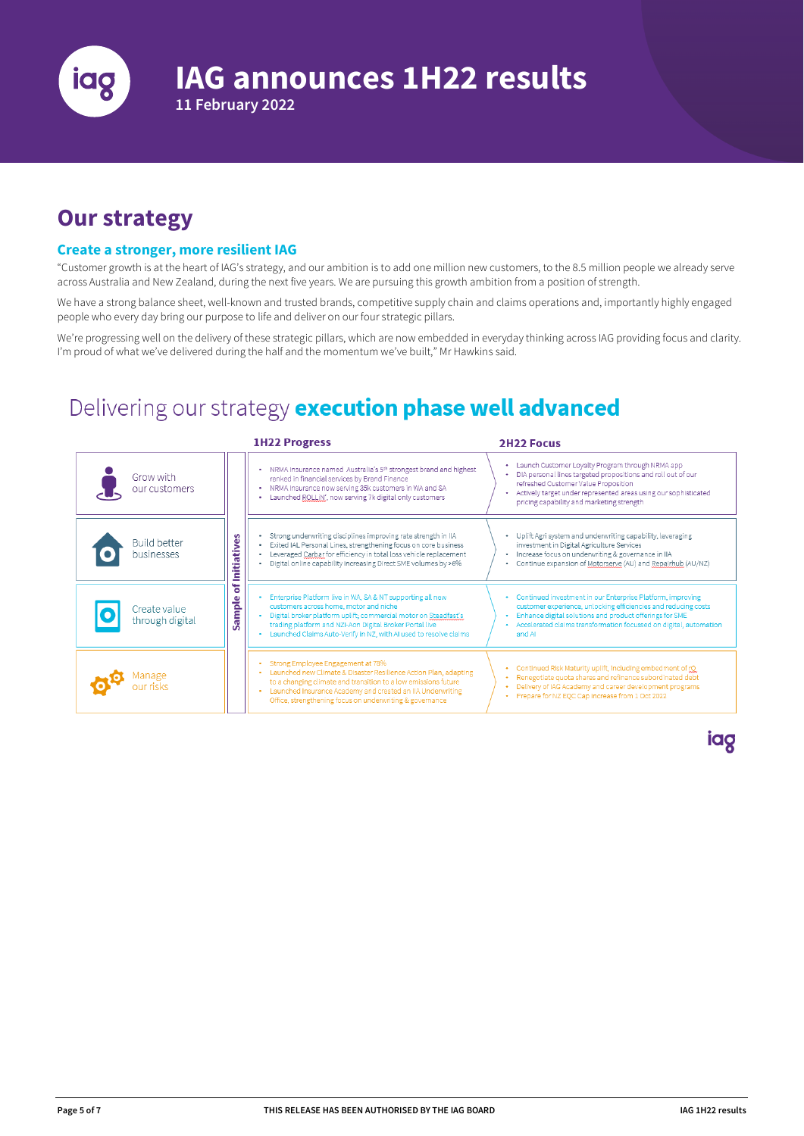

# **Our strategy**

## **Create a stronger, more resilient IAG**

**11 February 2022**

"Customer growth is at the heart of IAG's strategy, and our ambition is to add one million new customers, to the 8.5 million people we already serve across Australia and New Zealand, during the next five years. We are pursuing this growth ambition from a position of strength.

We have a strong balance sheet, well-known and trusted brands, competitive supply chain and claims operations and, importantly highly engaged people who every day bring our purpose to life and deliver on our four strategic pillars.

We're progressing well on the delivery of these strategic pillars, which are now embedded in everyday thinking across IAG providing focus and clarity. I'm proud of what we've delivered during the half and the momentum we've built," Mr Hawkins said.

## Delivering our strategy execution phase well advanced

|                                   |                    | <b>1H22 Progress</b>                                                                                                                                                                                                                                                                                                       | <b>2H22 Focus</b>                                                                                                                                                                                                                                                        |
|-----------------------------------|--------------------|----------------------------------------------------------------------------------------------------------------------------------------------------------------------------------------------------------------------------------------------------------------------------------------------------------------------------|--------------------------------------------------------------------------------------------------------------------------------------------------------------------------------------------------------------------------------------------------------------------------|
| Grow with<br>our customers        |                    | • NRMA Insurance named Australia's 5 <sup>th</sup> strongest brand and highest<br>ranked in financial services by Brand Finance<br>• NRMA Insurance now serving 35k customers in WA and SA<br>Launched ROLLIN', now serving 7k digital only customers<br>٠                                                                 | Launch Customer Loyalty Program through NRMA app<br>DIA personal lines targeted propositions and roll out of our<br>refreshed Customer Value Proposition<br>Actively target under represented areas using our sophisticated<br>pricing capability and marketing strength |
| <b>Build better</b><br>businesses | <b>Initiatives</b> | Strong underwriting disciplines improving rate strength in IIA<br>Exited IAL Personal Lines, strengthening focus on core business<br>٠<br>Leveraged Carbar for efficiency in total loss vehicle replacement<br>Digital online capability increasing Direct SME volumes by >6%                                              | • Uplift Agri system and underwriting capability, leveraging<br>investment in Digital Agriculture Services<br>· Increase focus on underwriting & governance in IIA<br>Continue expansion of Motorserve (AU) and Repairhub (AU/NZ)                                        |
| Create value<br>through digital   | ቴ<br>Sample        | Enterprise Platform live in WA, SA & NT supporting all new<br>customers across home, motor and niche<br>Digital broker platform uplift; commercial motor on Steadfast's<br>×.<br>trading platform and NZI-Aon Digital Broker Portal live<br>Launched Claims Auto-Verify in NZ, with AI used to resolve claims<br>$\bullet$ | Continued investment in our Enterprise Platform, improving<br>customer experience, unlocking efficiencies and reducing costs<br>Enhance digital solutions and product offerings for SME<br>Accelerated claims transformation focussed on digital, automation<br>and AI   |
| vanage                            |                    | Strong Employee Engagement at 78%<br>Launched new Climate & Disaster Resilience Action Plan, adapting<br>to a changing climate and transition to a low emissions future<br>Launched Insurance Academy and created an IIA Underwriting<br>Office, strengthening focus on underwriting & governance                          | Continued Risk Maturity uplift, including embedment of rQ<br>Renegotiate quota shares and refinance subordinated debt<br>Delivery of IAG Academy and career development programs<br>Prepare for NZ EQC Cap increase from 1 Oct 2022                                      |

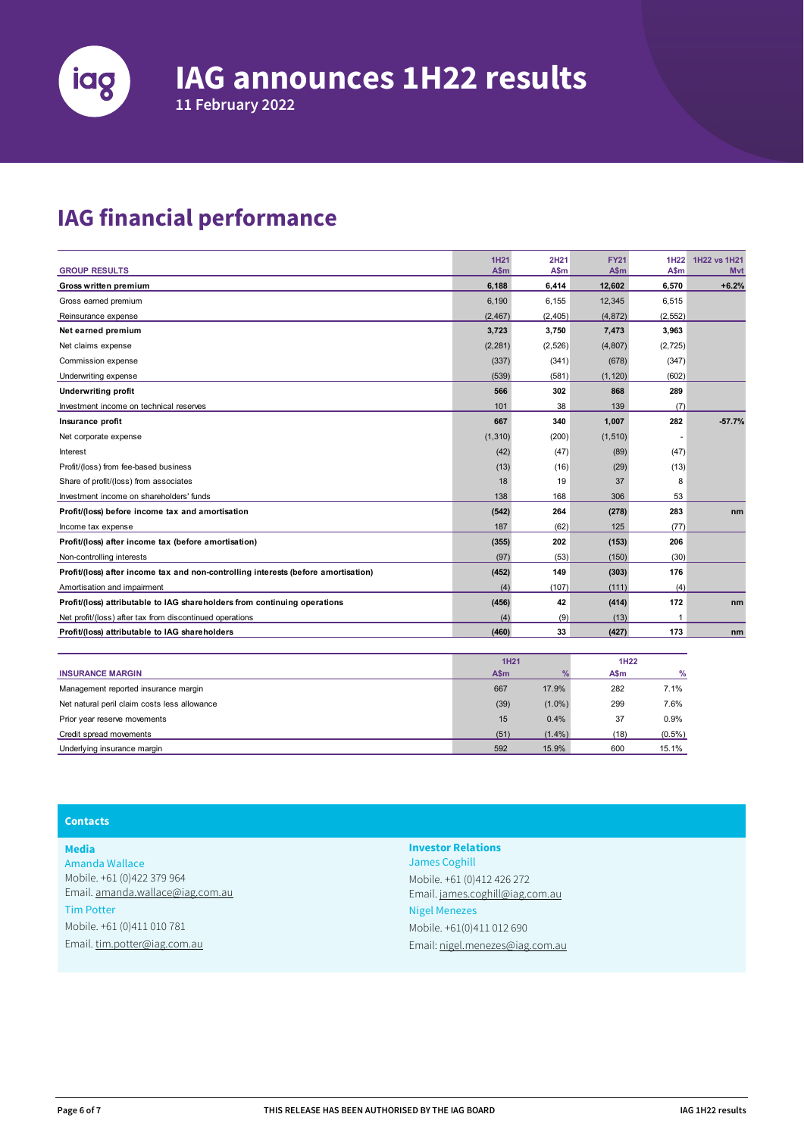

**11 February 2022**

# **IAG financial performance**

|                                                                                    | 1H21     | 2H21     | <b>FY21</b> | 1H <sub>22</sub> | 1H22 vs 1H21 |
|------------------------------------------------------------------------------------|----------|----------|-------------|------------------|--------------|
| <b>GROUP RESULTS</b>                                                               | A\$m     | A\$m     | A\$m        | A\$m             | <b>M</b> vt  |
| Gross written premium                                                              | 6,188    | 6,414    | 12,602      | 6,570            | $+6.2%$      |
| Gross earned premium                                                               | 6,190    | 6,155    | 12,345      | 6,515            |              |
| Reinsurance expense                                                                | (2, 467) | (2, 405) | (4, 872)    | (2, 552)         |              |
| Net earned premium                                                                 | 3,723    | 3,750    | 7,473       | 3,963            |              |
| Net claims expense                                                                 | (2, 281) | (2,526)  | (4, 807)    | (2, 725)         |              |
| Commission expense                                                                 | (337)    | (341)    | (678)       | (347)            |              |
| Underwriting expense                                                               | (539)    | (581)    | (1, 120)    | (602)            |              |
| <b>Underwriting profit</b>                                                         | 566      | 302      | 868         | 289              |              |
| Investment income on technical reserves                                            | 101      | 38       | 139         | (7)              |              |
| Insurance profit                                                                   | 667      | 340      | 1,007       | 282              | $-57.7%$     |
| Net corporate expense                                                              | (1, 310) | (200)    | (1, 510)    |                  |              |
| Interest                                                                           | (42)     | (47)     | (89)        | (47)             |              |
| Profit/(loss) from fee-based business                                              | (13)     | (16)     | (29)        | (13)             |              |
| Share of profit/(loss) from associates                                             | 18       | 19       | 37          | 8                |              |
| Investment income on shareholders' funds                                           | 138      | 168      | 306         | 53               |              |
| Profit/(loss) before income tax and amortisation                                   | (542)    | 264      | (278)       | 283              | nm           |
| Income tax expense                                                                 | 187      | (62)     | 125         | (77)             |              |
| Profit/(loss) after income tax (before amortisation)                               | (355)    | 202      | (153)       | 206              |              |
| Non-controlling interests                                                          | (97)     | (53)     | (150)       | (30)             |              |
| Profit/(loss) after income tax and non-controlling interests (before amortisation) | (452)    | 149      | (303)       | 176              |              |
| Amortisation and impairment                                                        | (4)      | (107)    | (111)       | (4)              |              |
| Profit/(loss) attributable to IAG shareholders from continuing operations          | (456)    | 42       | (414)       | 172              | nm           |
| Net profit/(loss) after tax from discontinued operations                           | (4)      | (9)      | (13)        |                  |              |
| Profit/(loss) attributable to IAG shareholders                                     | (460)    | 33       | (427)       | 173              | nm           |

|                                              | <b>1H21</b> |               | 1H <sub>22</sub> |           |
|----------------------------------------------|-------------|---------------|------------------|-----------|
| <b>INSURANCE MARGIN</b>                      | A\$m        | $\frac{0}{2}$ | A\$m             | $\%$      |
| Management reported insurance margin         | 667         | 17.9%         | 282              | 7.1%      |
| Net natural peril claim costs less allowance | (39)        | $(1.0\%)$     | 299              | 7.6%      |
| Prior year reserve movements                 | 15          | 0.4%          | 37               | 0.9%      |
| Credit spread movements                      | (51)        | $(1.4\%)$     | (18)             | $(0.5\%)$ |
| Underlying insurance margin                  | 592         | 15.9%         | 600              | 15.1%     |

## **Contacts**

**Media** Amanda Wallace Mobile. +61 (0)422 379 964 Email[. amanda.wallace@iag.com.au](mailto:amanda.wallace@iag.com.au) Tim Potter Mobile. +61 (0)411 010 781 Email. [tim.potter@iag.com.au](mailto:tim.potter@iag.com.au)

**Investor Relations** James Coghill Mobile. +61 (0)412 426 272 Email. [james.coghill@iag.com.au](mailto:james.coghill@iag.com.au) Nigel Menezes Mobile. +61(0)411 012 690 Email: [nigel.menezes@iag.com.au](mailto:nigel.menezes@iag.com.au)